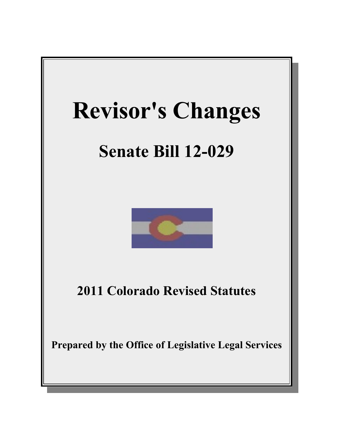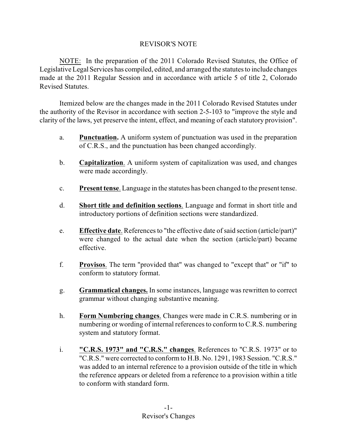# REVISOR'S NOTE

NOTE: In the preparation of the 2011 Colorado Revised Statutes, the Office of Legislative Legal Services has compiled, edited, and arranged the statutes to include changes made at the 2011 Regular Session and in accordance with article 5 of title 2, Colorado Revised Statutes.

Itemized below are the changes made in the 2011 Colorado Revised Statutes under the authority of the Revisor in accordance with section 2-5-103 to "improve the style and clarity of the laws, yet preserve the intent, effect, and meaning of each statutory provision".

- a. **Punctuation.** A uniform system of punctuation was used in the preparation of C.R.S., and the punctuation has been changed accordingly.
- b. **Capitalization**. A uniform system of capitalization was used, and changes were made accordingly.
- c. **Present tense**. Language in the statutes has been changed to the present tense.
- d. **Short title and definition sections**. Language and format in short title and introductory portions of definition sections were standardized.
- e. **Effective date**. References to "the effective date of said section (article/part)" were changed to the actual date when the section (article/part) became effective.
- f. **Provisos**. The term "provided that" was changed to "except that" or "if" to conform to statutory format.
- g. **Grammatical changes.** In some instances, language was rewritten to correct grammar without changing substantive meaning.
- h. **Form Numbering changes**. Changes were made in C.R.S. numbering or in numbering or wording of internal references to conform to C.R.S. numbering system and statutory format.
- i. **"C.R.S. 1973" and "C.R.S." changes**. References to "C.R.S. 1973" or to "C.R.S." were corrected to conform to H.B. No. 1291, 1983 Session. "C.R.S." was added to an internal reference to a provision outside of the title in which the reference appears or deleted from a reference to a provision within a title to conform with standard form.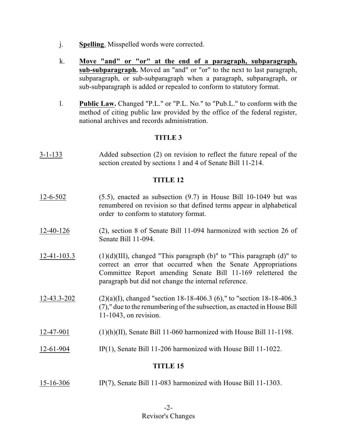- j. **Spelling**. Misspelled words were corrected.
- k. **Move "and" or "or" at the end of a paragraph, subparagraph, sub-subparagraph.** Moved an "and" or "or" to the next to last paragraph, subparagraph, or sub-subparagraph when a paragraph, subparagraph, or sub-subparagraph is added or repealed to conform to statutory format.
- l. **Public Law.** Changed "P.L." or "P.L. No." to "Pub.L." to conform with the method of citing public law provided by the office of the federal register, national archives and records administration.

# **TITLE 3**

3-1-133 Added subsection (2) on revision to reflect the future repeal of the section created by sections 1 and 4 of Senate Bill 11-214.

# **TITLE 12**

- 12-6-502 (5.5), enacted as subsection (9.7) in House Bill 10-1049 but was renumbered on revision so that defined terms appear in alphabetical order to conform to statutory format.
- 12-40-126 (2), section 8 of Senate Bill 11-094 harmonized with section 26 of Senate Bill 11-094.
- $12-41-103.3$  (1)(d)(III), changed "This paragraph (b)" to "This paragraph (d)" to correct an error that occurred when the Senate Appropriations Committee Report amending Senate Bill 11-169 relettered the paragraph but did not change the internal reference.
- $12-43.3-202$  (2)(a)(I), changed "section 18-18-406.3 (6)," to "section 18-18-406.3 (7)," due to the renumbering of the subsection, as enacted in House Bill 11-1043, on revision.
- $12-47-901$  (1)(h)(II), Senate Bill 11-060 harmonized with House Bill 11-1198.
- 12-61-904 IP(1), Senate Bill 11-206 harmonized with House Bill 11-1022.

# **TITLE 15**

15-16-306 IP(7), Senate Bill 11-083 harmonized with House Bill 11-1303.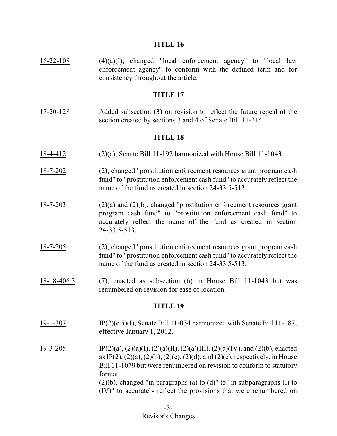### **TITLE 16**

 $16-22-108$  (4)(a)(I), changed "local enforcement agency" to "local law enforcement agency" to conform with the defined term and for consistency throughout the article.

#### **TITLE 17**

17-20-128 Added subsection (3) on revision to reflect the future repeal of the section created by sections 3 and 4 of Senate Bill 11-214.

### **TITLE 18**

- 18-4-412 (2)(a), Senate Bill 11-192 harmonized with House Bill 11-1043.
- 18-7-202 (2), changed "prostitution enforcement resources grant program cash fund" to "prostitution enforcement cash fund" to accurately reflect the name of the fund as created in section 24-33.5-513.
- 18-7-203 (2)(a) and (2)(b), changed "prostitution enforcement resources grant program cash fund" to "prostitution enforcement cash fund" to accurately reflect the name of the fund as created in section 24-33.5-513.
- 18-7-205 (2), changed "prostitution enforcement resources grant program cash fund" to "prostitution enforcement cash fund" to accurately reflect the name of the fund as created in section 24-33.5-513.
- 18-18-406.3 (7), enacted as subsection (6) in House Bill 11-1043 but was renumbered on revision for ease of location.

- 19-1-307 IP(2)(e.5)(I), Senate Bill 11-034 harmonized with Senate Bill 11-187, effective January 1, 2012.
- 19-3-205 IP(2)(a), (2)(a)(I), (2)(a)(II), (2)(a)(III), (2)(a)(IV), and (2)(b), enacted as IP(2), (2)(a), (2)(b), (2)(c), (2)(d), and (2)(e), respectively, in House Bill 11-1079 but were renumbered on revision to conform to statutory format. (2)(b), changed "in paragraphs (a) to (d)" to "in subparagraphs (I) to (IV)" to accurately reflect the provisions that were renumbered on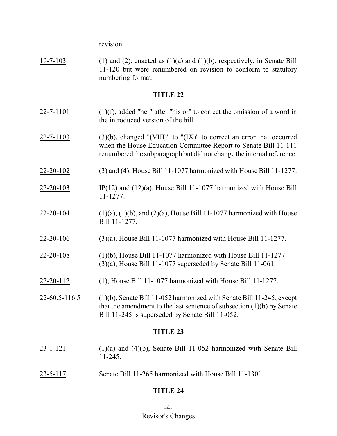revision.

19-7-103 (1) and (2), enacted as  $(1)(a)$  and  $(1)(b)$ , respectively, in Senate Bill 11-120 but were renumbered on revision to conform to statutory numbering format.

### **TITLE 22**

- $22-7-1101$  (1)(f), added "her" after "his or" to correct the omission of a word in the introduced version of the bill.
- $22-7-1103$  (3)(b), changed "(VIII)" to "(IX)" to correct an error that occurred when the House Education Committee Report to Senate Bill 11-111 renumbered the subparagraph but did not change the internal reference.
- 22-20-102 (3) and (4), House Bill 11-1077 harmonized with House Bill 11-1277.
- $22-20-103$  IP(12) and (12)(a), House Bill 11-1077 harmonized with House Bill 11-1277.
- 22-20-104 (1)(a), (1)(b), and (2)(a), House Bill 11-1077 harmonized with House Bill 11-1277.
- 22-20-106 (3)(a), House Bill 11-1077 harmonized with House Bill 11-1277.
- 22-20-108 (1)(b), House Bill 11-1077 harmonized with House Bill 11-1277. (3)(a), House Bill 11-1077 superseded by Senate Bill 11-061.
- 22-20-112 (1), House Bill 11-1077 harmonized with House Bill 11-1277.
- 22-60.5-116.5 (1)(b), Senate Bill 11-052 harmonized with Senate Bill 11-245; except that the amendment to the last sentence of subsection (1)(b) by Senate Bill 11-245 is superseded by Senate Bill 11-052.

## **TITLE 23**

- 23-1-121 (1)(a) and (4)(b), Senate Bill 11-052 harmonized with Senate Bill 11-245.
- 23-5-117 Senate Bill 11-265 harmonized with House Bill 11-1301.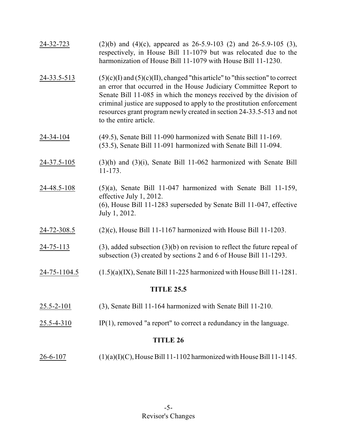| 24-32-723         | $(2)(b)$ and $(4)(c)$ , appeared as 26-5.9-103 (2) and 26-5.9-105 (3),<br>respectively, in House Bill 11-1079 but was relocated due to the<br>harmonization of House Bill 11-1079 with House Bill 11-1230.                                                                                                                                                                                                |
|-------------------|-----------------------------------------------------------------------------------------------------------------------------------------------------------------------------------------------------------------------------------------------------------------------------------------------------------------------------------------------------------------------------------------------------------|
| 24-33.5-513       | $(5)(c)(I)$ and $(5)(c)(II)$ , changed "this article" to "this section" to correct<br>an error that occurred in the House Judiciary Committee Report to<br>Senate Bill 11-085 in which the moneys received by the division of<br>criminal justice are supposed to apply to the prostitution enforcement<br>resources grant program newly created in section 24-33.5-513 and not<br>to the entire article. |
| 24-34-104         | (49.5), Senate Bill 11-090 harmonized with Senate Bill 11-169.<br>(53.5), Senate Bill 11-091 harmonized with Senate Bill 11-094.                                                                                                                                                                                                                                                                          |
| 24-37.5-105       | $(3)(h)$ and $(3)(i)$ , Senate Bill 11-062 harmonized with Senate Bill<br>$11 - 173.$                                                                                                                                                                                                                                                                                                                     |
| 24-48.5-108       | $(5)(a)$ , Senate Bill 11-047 harmonized with Senate Bill 11-159,<br>effective July 1, 2012.<br>(6), House Bill 11-1283 superseded by Senate Bill 11-047, effective<br>July 1, 2012.                                                                                                                                                                                                                      |
| 24-72-308.5       | $(2)(c)$ , House Bill 11-1167 harmonized with House Bill 11-1203.                                                                                                                                                                                                                                                                                                                                         |
| <u>24-75-113</u>  | $(3)$ , added subsection $(3)(b)$ on revision to reflect the future repeal of<br>subsection (3) created by sections 2 and 6 of House Bill 11-1293.                                                                                                                                                                                                                                                        |
| 24-75-1104.5      | $(1.5)(a)(IX)$ , Senate Bill 11-225 harmonized with House Bill 11-1281.                                                                                                                                                                                                                                                                                                                                   |
| <b>TITLE 25.5</b> |                                                                                                                                                                                                                                                                                                                                                                                                           |
| $25.5 - 2 - 101$  | (3), Senate Bill 11-164 harmonized with Senate Bill 11-210.                                                                                                                                                                                                                                                                                                                                               |
| $25.5 - 4 - 310$  | $IP(1)$ , removed "a report" to correct a redundancy in the language.                                                                                                                                                                                                                                                                                                                                     |
| <b>TITLE 26</b>   |                                                                                                                                                                                                                                                                                                                                                                                                           |
| $26 - 6 - 107$    | $(1)(a)(I)(C)$ , House Bill 11-1102 harmonized with House Bill 11-1145.                                                                                                                                                                                                                                                                                                                                   |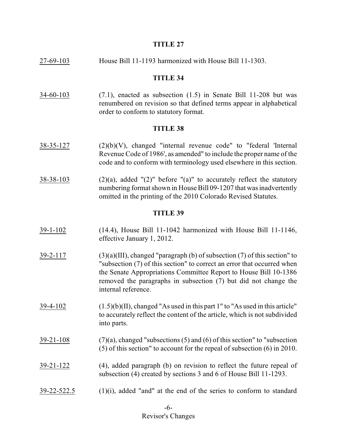### **TITLE 27**

27-69-103 House Bill 11-1193 harmonized with House Bill 11-1303.

### **TITLE 34**

 $34-60-103$  (7.1), enacted as subsection (1.5) in Senate Bill 11-208 but was renumbered on revision so that defined terms appear in alphabetical order to conform to statutory format.

### **TITLE 38**

- $38-35-127$  (2)(b)(V), changed "internal revenue code" to "federal 'Internal Revenue Code of 1986', as amended" to include the proper name of the code and to conform with terminology used elsewhere in this section.
- $38-38-103$  (2)(a), added "(2)" before "(a)" to accurately reflect the statutory numbering format shown in House Bill 09-1207 that was inadvertently omitted in the printing of the 2010 Colorado Revised Statutes.

- 39-1-102 (14.4), House Bill 11-1042 harmonized with House Bill 11-1146, effective January 1, 2012.
- $39-2-117$  (3)(a)(III), changed "paragraph (b) of subsection (7) of this section" to "subsection (7) of this section" to correct an error that occurred when the Senate Appropriations Committee Report to House Bill 10-1386 removed the paragraphs in subsection (7) but did not change the internal reference.
- 39-4-102 (1.5)(b)(II), changed "As used in this part 1" to "As used in this article" to accurately reflect the content of the article, which is not subdivided into parts.
- $39-21-108$  (7)(a), changed "subsections (5) and (6) of this section" to "subsection" (5) of this section" to account for the repeal of subsection (6) in 2010.
- $39-21-122$  (4), added paragraph (b) on revision to reflect the future repeal of subsection (4) created by sections 3 and 6 of House Bill 11-1293.
- $39-22-522.5$  (1)(i), added "and" at the end of the series to conform to standard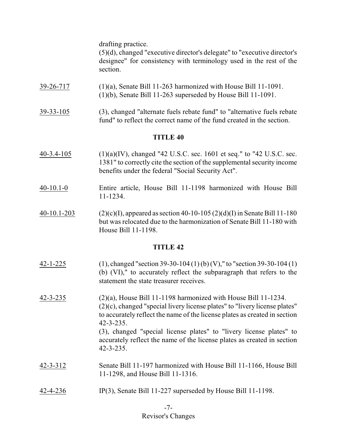drafting practice.

(5)(d), changed "executive director's delegate" to "executive director's designee" for consistency with terminology used in the rest of the section.

- 39-26-717 (1)(a), Senate Bill 11-263 harmonized with House Bill 11-1091. (1)(b), Senate Bill 11-263 superseded by House Bill 11-1091.
- 39-33-105 (3), changed "alternate fuels rebate fund" to "alternative fuels rebate fund" to reflect the correct name of the fund created in the section.

# **TITLE 40**

- 40-3.4-105 (1)(a)(IV), changed "42 U.S.C. sec. 1601 et seq." to "42 U.S.C. sec. 1381" to correctly cite the section of the supplemental security income benefits under the federal "Social Security Act".
- 40-10.1-0 Entire article, House Bill 11-1198 harmonized with House Bill 11-1234.
- 40-10.1-203 (2)(c)(I), appeared as section 40-10-105 (2)(d)(I) in Senate Bill 11-180 but was relocated due to the harmonization of Senate Bill 11-180 with House Bill 11-1198.

- $42-1-225$  (1), changed "section 39-30-104 (1) (b) (V)," to "section 39-30-104 (1) (b) (VI)," to accurately reflect the subparagraph that refers to the statement the state treasurer receives.
- 42-3-235 (2)(a), House Bill 11-1198 harmonized with House Bill 11-1234. (2)(c), changed "special livery license plates" to "livery license plates" to accurately reflect the name of the license plates as created in section 42-3-235. (3), changed "special license plates" to "livery license plates" to accurately reflect the name of the license plates as created in section 42-3-235.
- 42-3-312 Senate Bill 11-197 harmonized with House Bill 11-1166, House Bill 11-1298, and House Bill 11-1316.
- 42-4-236 IP(3), Senate Bill 11-227 superseded by House Bill 11-1198.